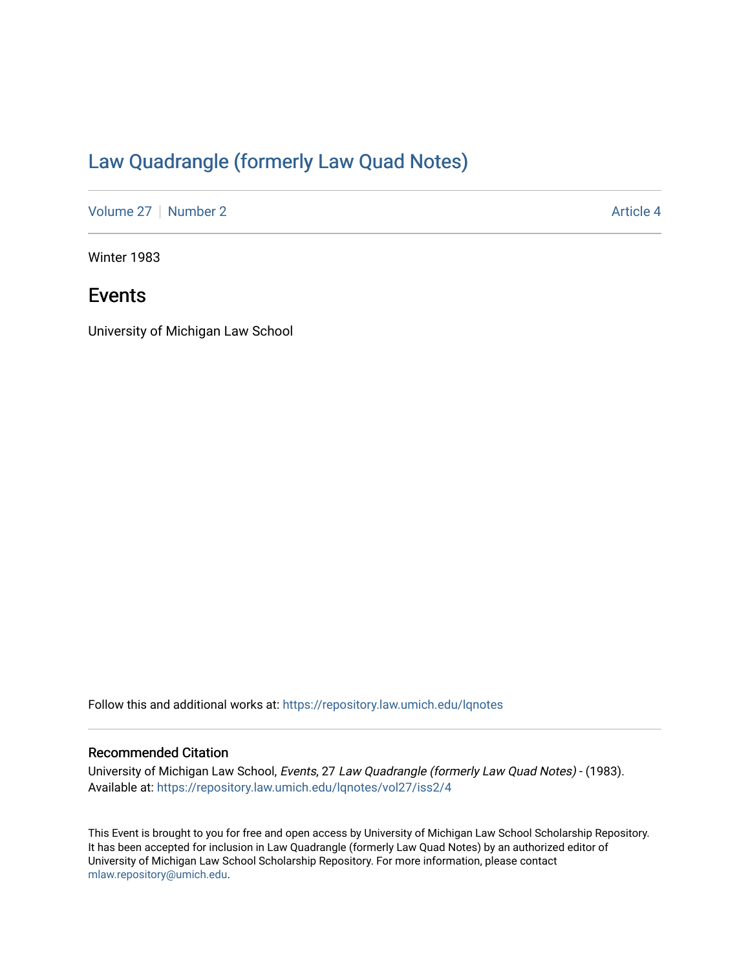## [Law Quadrangle \(formerly Law Quad Notes\)](https://repository.law.umich.edu/lqnotes)

[Volume 27](https://repository.law.umich.edu/lqnotes/vol27) | [Number 2](https://repository.law.umich.edu/lqnotes/vol27/iss2) Article 4

Winter 1983

## Events

University of Michigan Law School

Follow this and additional works at: [https://repository.law.umich.edu/lqnotes](https://repository.law.umich.edu/lqnotes?utm_source=repository.law.umich.edu%2Flqnotes%2Fvol27%2Fiss2%2F4&utm_medium=PDF&utm_campaign=PDFCoverPages) 

## Recommended Citation

University of Michigan Law School, Events, 27 Law Quadrangle (formerly Law Quad Notes) - (1983). Available at: [https://repository.law.umich.edu/lqnotes/vol27/iss2/4](https://repository.law.umich.edu/lqnotes/vol27/iss2/4?utm_source=repository.law.umich.edu%2Flqnotes%2Fvol27%2Fiss2%2F4&utm_medium=PDF&utm_campaign=PDFCoverPages) 

This Event is brought to you for free and open access by University of Michigan Law School Scholarship Repository. It has been accepted for inclusion in Law Quadrangle (formerly Law Quad Notes) by an authorized editor of University of Michigan Law School Scholarship Repository. For more information, please contact [mlaw.repository@umich.edu.](mailto:mlaw.repository@umich.edu)